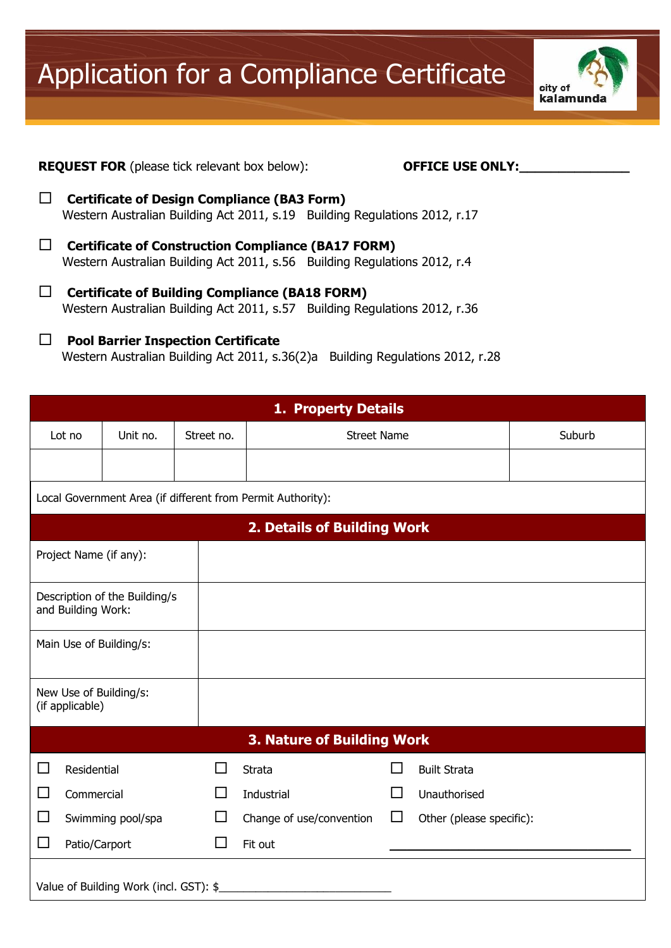Application for a Compliance Certificate



## **REQUEST FOR** (please tick relevant box below): **DEFICE USE ONLY:**

- **Certificate of Design Compliance (BA3 Form)** Western Australian Building Act 2011, s.19 Building Regulations 2012, r.17
- **Certificate of Construction Compliance (BA17 FORM)** Western Australian Building Act 2011, s.56 Building Regulations 2012, r.4
- **Certificate of Building Compliance (BA18 FORM)** Western Australian Building Act 2011, s.57 Building Regulations 2012, r.36

## **Pool Barrier Inspection Certificate**

Western Australian Building Act 2011, s.36(2)a Building Regulations 2012, r.28

| 1. Property Details                                         |               |                         |                |                          |        |                          |  |  |  |
|-------------------------------------------------------------|---------------|-------------------------|----------------|--------------------------|--------|--------------------------|--|--|--|
| Lot no                                                      |               | Unit no.                | Street no.     | <b>Street Name</b>       |        | Suburb                   |  |  |  |
|                                                             |               |                         |                |                          |        |                          |  |  |  |
| Local Government Area (if different from Permit Authority): |               |                         |                |                          |        |                          |  |  |  |
| 2. Details of Building Work                                 |               |                         |                |                          |        |                          |  |  |  |
| Project Name (if any):                                      |               |                         |                |                          |        |                          |  |  |  |
| Description of the Building/s<br>and Building Work:         |               |                         |                |                          |        |                          |  |  |  |
|                                                             |               | Main Use of Building/s: |                |                          |        |                          |  |  |  |
| New Use of Building/s:<br>(if applicable)                   |               |                         |                |                          |        |                          |  |  |  |
| <b>3. Nature of Building Work</b>                           |               |                         |                |                          |        |                          |  |  |  |
| $\Box$                                                      | Residential   |                         | $\blacksquare$ | <b>Strata</b>            | H      | <b>Built Strata</b>      |  |  |  |
| □                                                           | Commercial    |                         | H              | Industrial               | ΙI     | Unauthorised             |  |  |  |
| $\Box$                                                      |               | Swimming pool/spa       | $\mathsf{L}$   | Change of use/convention | $\Box$ | Other (please specific): |  |  |  |
| □                                                           | Patio/Carport |                         | $\mathbf{I}$   | Fit out                  |        |                          |  |  |  |
| Value of Building Work (incl. GST): \$                      |               |                         |                |                          |        |                          |  |  |  |